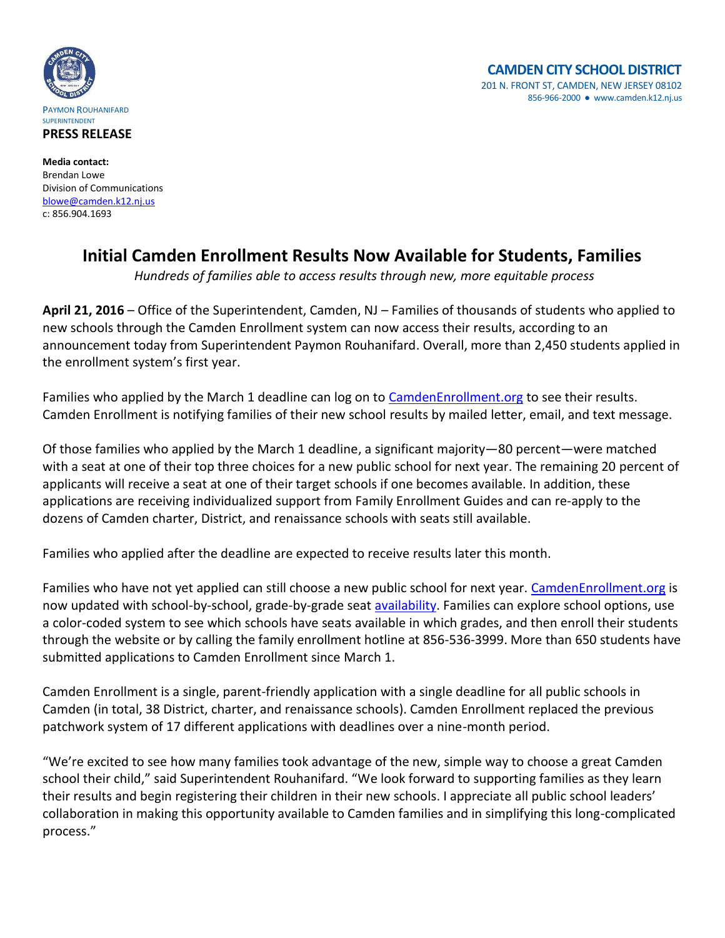



**Media contact:** Brendan Lowe Division of Communications [blowe@camden.k12.nj.us](mailto:blowe@camden.k12.nj.us) c: 856.904.1693

## **Initial Camden Enrollment Results Now Available for Students, Families**

*Hundreds of families able to access results through new, more equitable process*

**April 21, 2016** – Office of the Superintendent, Camden, NJ – Families of thousands of students who applied to new schools through the Camden Enrollment system can now access their results, according to an announcement today from Superintendent Paymon Rouhanifard. Overall, more than 2,450 students applied in the enrollment system's first year.

Families who applied by the March 1 deadline can log on to [CamdenEnrollment.org](https://www.camdenenrollment.org/) to see their results. Camden Enrollment is notifying families of their new school results by mailed letter, email, and text message.

Of those families who applied by the March 1 deadline, a significant majority—80 percent—were matched with a seat at one of their top three choices for a new public school for next year. The remaining 20 percent of applicants will receive a seat at one of their target schools if one becomes available. In addition, these applications are receiving individualized support from Family Enrollment Guides and can re-apply to the dozens of Camden charter, District, and renaissance schools with seats still available.

Families who applied after the deadline are expected to receive results later this month.

Families who have not yet applied can still choose a new public school for next year. [CamdenEnrollment.org](https://www.camdenenrollment.org/) is now updated with school-by-school, grade-by-grade seat **availability**. Families can explore school options, use a color-coded system to see which schools have seats available in which grades, and then enroll their students through the website or by calling the family enrollment hotline at 856-536-3999. More than 650 students have submitted applications to Camden Enrollment since March 1.

Camden Enrollment is a single, parent-friendly application with a single deadline for all public schools in Camden (in total, 38 District, charter, and renaissance schools). Camden Enrollment replaced the previous patchwork system of 17 different applications with deadlines over a nine-month period.

"We're excited to see how many families took advantage of the new, simple way to choose a great Camden school their child," said Superintendent Rouhanifard. "We look forward to supporting families as they learn their results and begin registering their children in their new schools. I appreciate all public school leaders' collaboration in making this opportunity available to Camden families and in simplifying this long-complicated process."